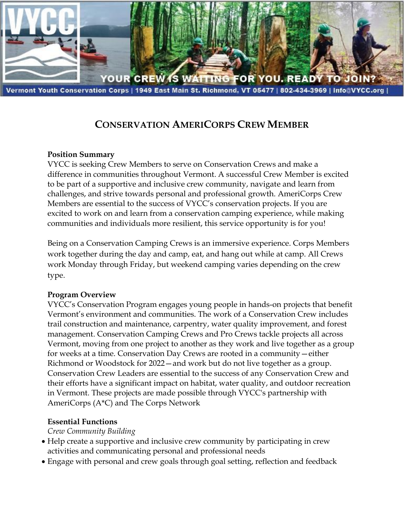

# **CONSERVATION AMERICORPS CREW MEMBER**

#### **Position Summary**

VYCC is seeking Crew Members to serve on Conservation Crews and make a difference in communities throughout Vermont. A successful Crew Member is excited to be part of a supportive and inclusive crew community, navigate and learn from challenges, and strive towards personal and professional growth. AmeriCorps Crew Members are essential to the success of VYCC's conservation projects. If you are excited to work on and learn from a conservation camping experience, while making communities and individuals more resilient, this service opportunity is for you!

Being on a Conservation Camping Crews is an immersive experience. Corps Members work together during the day and camp, eat, and hang out while at camp. All Crews work Monday through Friday, but weekend camping varies depending on the crew type.

#### **Program Overview**

VYCC's Conservation Program engages young people in hands-on projects that benefit Vermont's environment and communities. The work of a Conservation Crew includes trail construction and maintenance, carpentry, water quality improvement, and forest management. Conservation Camping Crews and Pro Crews tackle projects all across Vermont, moving from one project to another as they work and live together as a group for weeks at a time. Conservation Day Crews are rooted in a community—either Richmond or Woodstock for 2022—and work but do not live together as a group. Conservation Crew Leaders are essential to the success of any Conservation Crew and their efforts have a significant impact on habitat, water quality, and outdoor recreation in Vermont. These projects are made possible through VYCC's partnership with AmeriCorps (A\*C) and The Corps Network

#### **Essential Functions**

*Crew Community Building*

- Help create a supportive and inclusive crew community by participating in crew activities and communicating personal and professional needs
- Engage with personal and crew goals through goal setting, reflection and feedback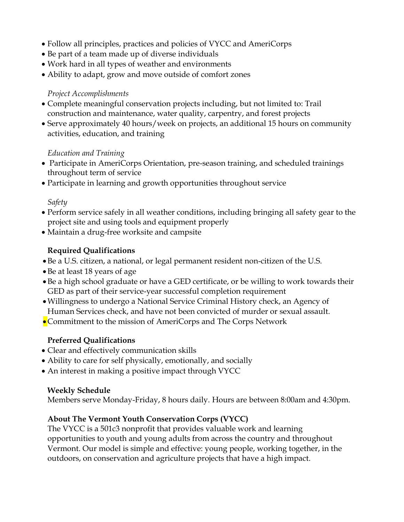- Follow all principles, practices and policies of VYCC and AmeriCorps
- Be part of a team made up of diverse individuals
- Work hard in all types of weather and environments
- Ability to adapt, grow and move outside of comfort zones

#### *Project Accomplishments*

- Complete meaningful conservation projects including, but not limited to: Trail construction and maintenance, water quality, carpentry, and forest projects
- Serve approximately 40 hours/week on projects, an additional 15 hours on community activities, education, and training

#### *Education and Training*

- Participate in AmeriCorps Orientation, pre-season training, and scheduled trainings throughout term of service
- Participate in learning and growth opportunities throughout service

#### *Safety*

- Perform service safely in all weather conditions, including bringing all safety gear to the project site and using tools and equipment properly
- Maintain a drug-free worksite and campsite

## **Required Qualifications**

- •Be a U.S. citizen, a national, or legal permanent resident non-citizen of the U.S.
- •Be at least 18 years of age
- •Be a high school graduate or have a GED certificate, or be willing to work towards their GED as part of their service-year successful completion requirement
- •Willingness to undergo a National Service Criminal History check, an Agency of Human Services check, and have not been convicted of murder or sexual assault.
- Commitment to the mission of AmeriCorps and The Corps Network

## **Preferred Qualifications**

- Clear and effectively communication skills
- Ability to care for self physically, emotionally, and socially
- An interest in making a positive impact through VYCC

#### **Weekly Schedule**

Members serve Monday-Friday, 8 hours daily. Hours are between 8:00am and 4:30pm.

## **About The Vermont Youth Conservation Corps (VYCC)**

The VYCC is a 501c3 nonprofit that provides valuable work and learning opportunities to youth and young adults from across the country and throughout Vermont. Our model is simple and effective: young people, working together, in the outdoors, on conservation and agriculture projects that have a high impact.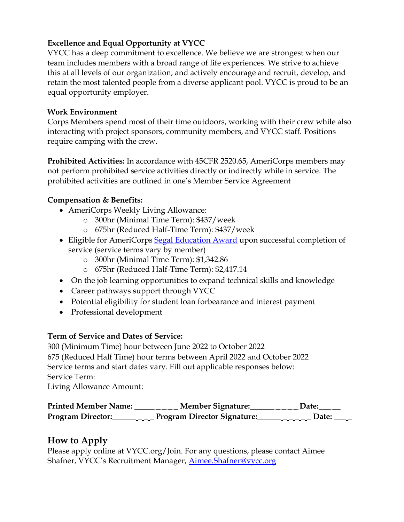## **Excellence and Equal Opportunity at VYCC**

VYCC has a deep commitment to excellence. We believe we are strongest when our team includes members with a broad range of life experiences. We strive to achieve this at all levels of our organization, and actively encourage and recruit, develop, and retain the most talented people from a diverse applicant pool. VYCC is proud to be an equal opportunity employer.

#### **Work Environment**

Corps Members spend most of their time outdoors, working with their crew while also interacting with project sponsors, community members, and VYCC staff. Positions require camping with the crew.

**Prohibited Activities:** In accordance with 45CFR 2520.65, AmeriCorps members may not perform prohibited service activities directly or indirectly while in service. The prohibited activities are outlined in one's Member Service Agreement

#### **Compensation & Benefits:**

- AmeriCorps Weekly Living Allowance:
	- o 300hr (Minimal Time Term): \$437/week
	- o 675hr (Reduced Half-Time Term): \$437/week
- Eligible for AmeriCorps [Segal Education Award](https://www.nationalservice.gov/programs/americorps/segal-americorps-education-award) upon successful completion of service (service terms vary by member)
	- o 300hr (Minimal Time Term): \$1,342.86
	- o 675hr (Reduced Half-Time Term): \$2,417.14
- On the job learning opportunities to expand technical skills and knowledge
- Career pathways support through VYCC
- Potential eligibility for student loan forbearance and interest payment
- Professional development

## **Term of Service and Dates of Service:**

300 (Minimum Time) hour between June 2022 to October 2022 675 (Reduced Half Time) hour terms between April 2022 and October 2022 Service terms and start dates vary. Fill out applicable responses below: Service Term:

Living Allowance Amount:

| <b>Printed Member Name:</b>                                                                                                                                                                                                                                                                                                                                                                                                                                                                            | <b>Member Signature:</b>    | Date: |
|--------------------------------------------------------------------------------------------------------------------------------------------------------------------------------------------------------------------------------------------------------------------------------------------------------------------------------------------------------------------------------------------------------------------------------------------------------------------------------------------------------|-----------------------------|-------|
| <b>Program Director:</b><br>$\frac{1}{2} \left( \frac{1}{2} \right) \left( \frac{1}{2} \right) \left( \frac{1}{2} \right) \left( \frac{1}{2} \right) \left( \frac{1}{2} \right) \left( \frac{1}{2} \right) \left( \frac{1}{2} \right) \left( \frac{1}{2} \right) \left( \frac{1}{2} \right) \left( \frac{1}{2} \right) \left( \frac{1}{2} \right) \left( \frac{1}{2} \right) \left( \frac{1}{2} \right) \left( \frac{1}{2} \right) \left( \frac{1}{2} \right) \left( \frac{1}{2} \right) \left( \frac$ | Program Director Signature: | Date: |

# **How to Apply**

Please apply online at VYCC.org/Join. For any questions, please contact Aimee Shafner, VYCC's Recruitment Manager, [Aimee.Shafner@vycc.org](mailto:Aimee.Shafner@vycc.org)